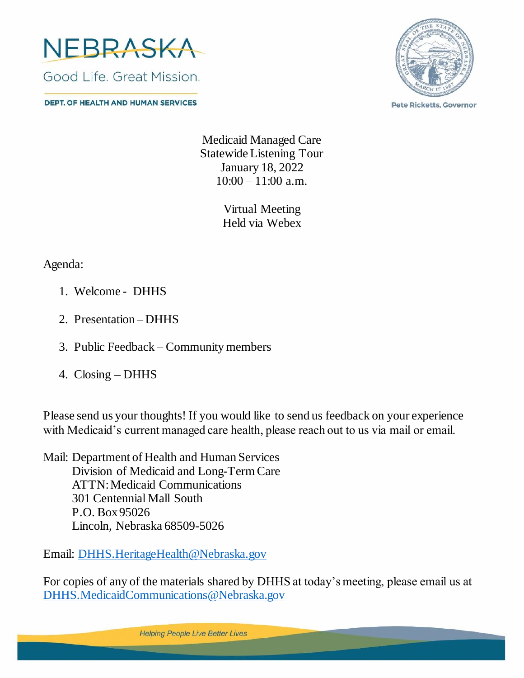

**DEPT. OF HEALTH AND HUMAN SERVICES** 



**Pete Ricketts, Governor** 

Medicaid Managed Care Statewide Listening Tour January 18, 2022  $10:00 - 11:00$  a.m.

> Virtual Meeting Held via Webex

Agenda:

- 1. Welcome DHHS
- 2. Presentation DHHS
- 3. Public Feedback Community members
- 4. Closing DHHS

Please send us your thoughts! If you would like to send us feedback on your experience with Medicaid's current managed care health, please reach out to us via mail or email.

Mail: Department of Health and Human Services Division of Medicaid and Long-Term Care ATTN: Medicaid Communications 301 Centennial Mall South P.O. Box 95026 Lincoln, Nebraska 68509-5026

Email: [DHHS.HeritageHealth@Nebraska.gov](mailto:DHHS.HeritageHealth@Nebraska.gov)

For copies of any of the materials shared by DHHS at today's meeting, please email us at [DHHS.MedicaidCommunications@Nebraska.gov](mailto:DHHS.MedicaidCommunications@Nebraska.gov)

**Helping People Live Better Lives**